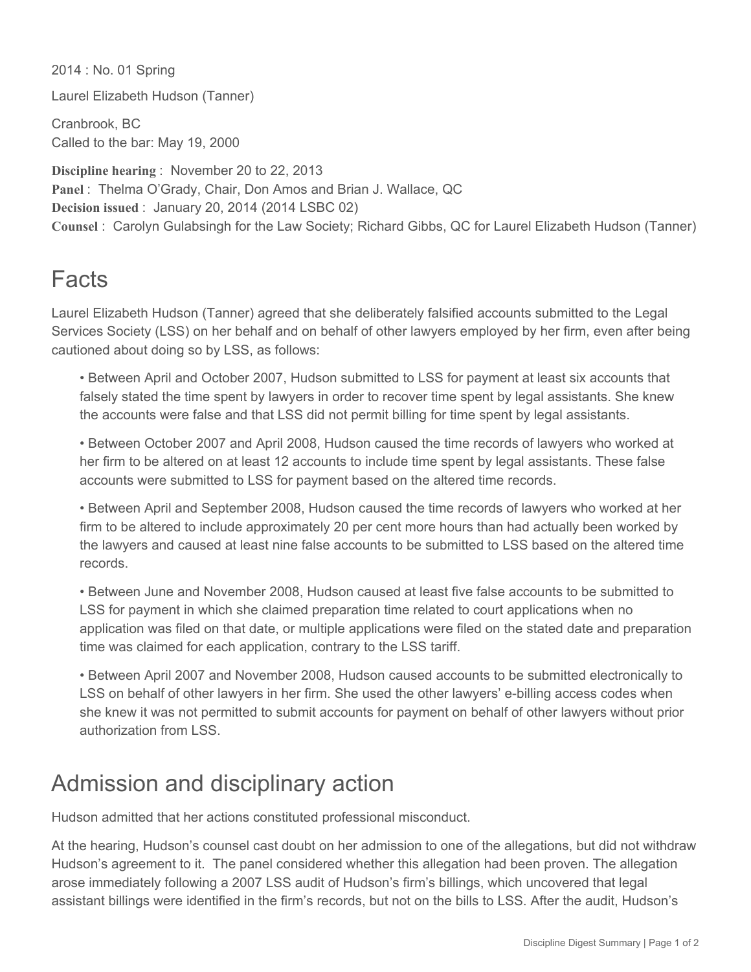2014 : No. 01 Spring

Laurel Elizabeth Hudson (Tanner)

Cranbrook, BC Called to the bar: May 19, 2000

**Discipline hearing** : November 20 to 22, 2013 **Panel** : Thelma O'Grady, Chair, Don Amos and Brian J. Wallace, QC **Decision issued** : January 20, 2014 (2014 LSBC 02) **Counsel** : Carolyn Gulabsingh for the Law Society; Richard Gibbs, QC for Laurel Elizabeth Hudson (Tanner)

## **Facts**

Laurel Elizabeth Hudson (Tanner) agreed that she deliberately falsified accounts submitted to the Legal Services Society (LSS) on her behalf and on behalf of other lawyers employed by her firm, even after being cautioned about doing so by LSS, as follows:

• Between April and October 2007, Hudson submitted to LSS for payment at least six accounts that falsely stated the time spent by lawyers in order to recover time spent by legal assistants. She knew the accounts were false and that LSS did not permit billing for time spent by legal assistants.

• Between October 2007 and April 2008, Hudson caused the time records of lawyers who worked at her firm to be altered on at least 12 accounts to include time spent by legal assistants. These false accounts were submitted to LSS for payment based on the altered time records.

• Between April and September 2008, Hudson caused the time records of lawyers who worked at her firm to be altered to include approximately 20 per cent more hours than had actually been worked by the lawyers and caused at least nine false accounts to be submitted to LSS based on the altered time records.

• Between June and November 2008, Hudson caused at least five false accounts to be submitted to LSS for payment in which she claimed preparation time related to court applications when no application was filed on that date, or multiple applications were filed on the stated date and preparation time was claimed for each application, contrary to the LSS tariff.

• Between April 2007 and November 2008, Hudson caused accounts to be submitted electronically to LSS on behalf of other lawyers in her firm. She used the other lawyers' e-billing access codes when she knew it was not permitted to submit accounts for payment on behalf of other lawyers without prior authorization from LSS.

## Admission and disciplinary action

Hudson admitted that her actions constituted professional misconduct.

At the hearing, Hudson's counsel cast doubt on her admission to one of the allegations, but did not withdraw Hudson's agreement to it. The panel considered whether this allegation had been proven. The allegation arose immediately following a 2007 LSS audit of Hudson's firm's billings, which uncovered that legal assistant billings were identified in the firm's records, but not on the bills to LSS. After the audit, Hudson's